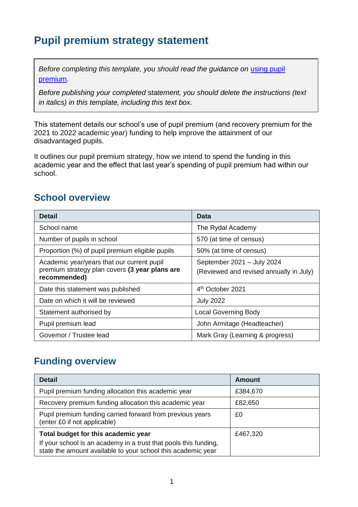## **Pupil premium strategy statement**

*Before completing this template, you should read the guidance on using pupil* [premium.](https://www.gov.uk/guidance/pupil-premium-effective-use-and-accountability#online-statements)

*Before publishing your completed statement, you should delete the instructions (text in italics) in this template, including this text box.*

This statement details our school's use of pupil premium (and recovery premium for the 2021 to 2022 academic year) funding to help improve the attainment of our disadvantaged pupils.

It outlines our pupil premium strategy, how we intend to spend the funding in this academic year and the effect that last year's spending of pupil premium had within our school.

### **School overview**

| <b>Detail</b>                                                                                                | Data                                                                  |
|--------------------------------------------------------------------------------------------------------------|-----------------------------------------------------------------------|
| School name                                                                                                  | The Rydal Academy                                                     |
| Number of pupils in school                                                                                   | 570 (at time of census)                                               |
| Proportion (%) of pupil premium eligible pupils                                                              | 50% (at time of census)                                               |
| Academic year/years that our current pupil<br>premium strategy plan covers (3 year plans are<br>recommended) | September 2021 - July 2024<br>(Reviewed and revised annually in July) |
| Date this statement was published                                                                            | 4 <sup>th</sup> October 2021                                          |
| Date on which it will be reviewed                                                                            | <b>July 2022</b>                                                      |
| Statement authorised by                                                                                      | <b>Local Governing Body</b>                                           |
| Pupil premium lead                                                                                           | John Armitage (Headteacher)                                           |
| Governor / Trustee lead                                                                                      | Mark Gray (Learning & progress)                                       |

### **Funding overview**

| <b>Detail</b>                                                                                                                                                           | Amount   |
|-------------------------------------------------------------------------------------------------------------------------------------------------------------------------|----------|
| Pupil premium funding allocation this academic year                                                                                                                     | £384,670 |
| Recovery premium funding allocation this academic year                                                                                                                  | £82,650  |
| Pupil premium funding carried forward from previous years<br>(enter £0 if not applicable)                                                                               | £0       |
| Total budget for this academic year<br>If your school is an academy in a trust that pools this funding,<br>state the amount available to your school this academic year | £467,320 |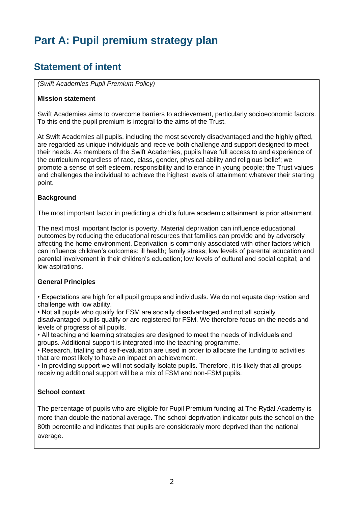# **Part A: Pupil premium strategy plan**

### **Statement of intent**

*(Swift Academies Pupil Premium Policy)*

#### **Mission statement**

Swift Academies aims to overcome barriers to achievement, particularly socioeconomic factors. To this end the pupil premium is integral to the aims of the Trust.

At Swift Academies all pupils, including the most severely disadvantaged and the highly gifted, are regarded as unique individuals and receive both challenge and support designed to meet their needs. As members of the Swift Academies, pupils have full access to and experience of the curriculum regardless of race, class, gender, physical ability and religious belief; we promote a sense of self-esteem, responsibility and tolerance in young people; the Trust values and challenges the individual to achieve the highest levels of attainment whatever their starting point.

#### **Background**

The most important factor in predicting a child's future academic attainment is prior attainment.

The next most important factor is poverty. Material deprivation can influence educational outcomes by reducing the educational resources that families can provide and by adversely affecting the home environment. Deprivation is commonly associated with other factors which can influence children's outcomes: ill health; family stress; low levels of parental education and parental involvement in their children's education; low levels of cultural and social capital; and low aspirations.

#### **General Principles**

• Expectations are high for all pupil groups and individuals. We do not equate deprivation and challenge with low ability.

• Not all pupils who qualify for FSM are socially disadvantaged and not all socially disadvantaged pupils qualify or are registered for FSM. We therefore focus on the needs and levels of progress of all pupils.

• All teaching and learning strategies are designed to meet the needs of individuals and groups. Additional support is integrated into the teaching programme.

• Research, trialling and self-evaluation are used in order to allocate the funding to activities that are most likely to have an impact on achievement.

• In providing support we will not socially isolate pupils. Therefore, it is likely that all groups receiving additional support will be a mix of FSM and non-FSM pupils.

#### **School context**

The percentage of pupils who are eligible for Pupil Premium funding at The Rydal Academy is more than double the national average. The school deprivation indicator puts the school on the 80th percentile and indicates that pupils are considerably more deprived than the national average.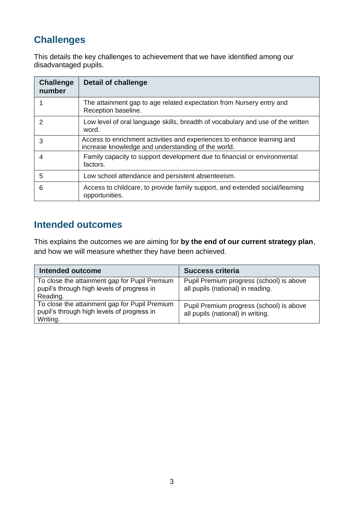## **Challenges**

This details the key challenges to achievement that we have identified among our disadvantaged pupils.

| <b>Challenge</b><br>number | Detail of challenge                                                                                                           |
|----------------------------|-------------------------------------------------------------------------------------------------------------------------------|
|                            | The attainment gap to age related expectation from Nursery entry and<br>Reception baseline.                                   |
| $\mathcal{P}$              | Low level of oral language skills, breadth of vocabulary and use of the written<br>word.                                      |
| 3                          | Access to enrichment activities and experiences to enhance learning and<br>increase knowledge and understanding of the world. |
| 4                          | Family capacity to support development due to financial or environmental<br>factors.                                          |
| 5                          | Low school attendance and persistent absenteeism.                                                                             |
| 6                          | Access to childcare, to provide family support, and extended social/learning<br>opportunities.                                |

### **Intended outcomes**

This explains the outcomes we are aiming for **by the end of our current strategy plan**, and how we will measure whether they have been achieved.

| Intended outcome                                                                                        | <b>Success criteria</b>                                                       |
|---------------------------------------------------------------------------------------------------------|-------------------------------------------------------------------------------|
| To close the attainment gap for Pupil Premium<br>pupil's through high levels of progress in<br>Reading. | Pupil Premium progress (school) is above<br>all pupils (national) in reading. |
| To close the attainment gap for Pupil Premium<br>pupil's through high levels of progress in<br>Writing. | Pupil Premium progress (school) is above<br>all pupils (national) in writing. |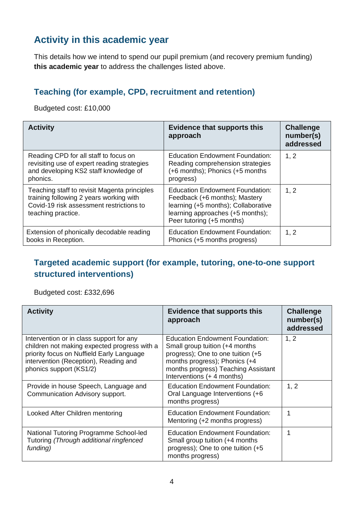### **Activity in this academic year**

This details how we intend to spend our pupil premium (and recovery premium funding) **this academic year** to address the challenges listed above.

#### **Teaching (for example, CPD, recruitment and retention)**

Budgeted cost: £10,000

| <b>Activity</b>                                                                                                                                           | <b>Evidence that supports this</b><br>approach                                                                                                                           | <b>Challenge</b><br>number(s)<br>addressed |
|-----------------------------------------------------------------------------------------------------------------------------------------------------------|--------------------------------------------------------------------------------------------------------------------------------------------------------------------------|--------------------------------------------|
| Reading CPD for all staff to focus on<br>revisiting use of expert reading strategies<br>and developing KS2 staff knowledge of<br>phonics.                 | <b>Education Endowment Foundation:</b><br>Reading comprehension strategies<br>(+6 months); Phonics (+5 months)<br>progress)                                              | 1, 2                                       |
| Teaching staff to revisit Magenta principles<br>training following 2 years working with<br>Covid-19 risk assessment restrictions to<br>teaching practice. | Education Endowment Foundation:<br>Feedback (+6 months); Mastery<br>learning (+5 months); Collaborative<br>learning approaches (+5 months);<br>Peer tutoring (+5 months) | 1, 2                                       |
| Extension of phonically decodable reading<br>books in Reception.                                                                                          | <b>Education Endowment Foundation:</b><br>Phonics (+5 months progress)                                                                                                   | 1, 2                                       |

#### **Targeted academic support (for example, tutoring, one-to-one support structured interventions)**

Budgeted cost: £332,696

| <b>Activity</b>                                                                                                                                                                                           | <b>Evidence that supports this</b><br>approach                                                                                                                                                               | <b>Challenge</b><br>number(s)<br>addressed |
|-----------------------------------------------------------------------------------------------------------------------------------------------------------------------------------------------------------|--------------------------------------------------------------------------------------------------------------------------------------------------------------------------------------------------------------|--------------------------------------------|
| Intervention or in class support for any<br>children not making expected progress with a<br>priority focus on Nuffield Early Language<br>intervention (Reception), Reading and<br>phonics support (KS1/2) | Education Endowment Foundation:<br>Small group tuition (+4 months<br>progress); One to one tuition (+5<br>months progress); Phonics (+4<br>months progress) Teaching Assistant<br>Interventions (+ 4 months) | 1, 2                                       |
| Provide in house Speech, Language and<br>Communication Advisory support.                                                                                                                                  | <b>Education Endowment Foundation:</b><br>Oral Language Interventions (+6<br>months progress)                                                                                                                | 1, 2                                       |
| Looked After Children mentoring                                                                                                                                                                           | <b>Education Endowment Foundation:</b><br>Mentoring (+2 months progress)                                                                                                                                     | 1                                          |
| National Tutoring Programme School-led<br>Tutoring (Through additional ringfenced<br>funding)                                                                                                             | <b>Education Endowment Foundation:</b><br>Small group tuition (+4 months<br>progress); One to one tuition (+5<br>months progress)                                                                            |                                            |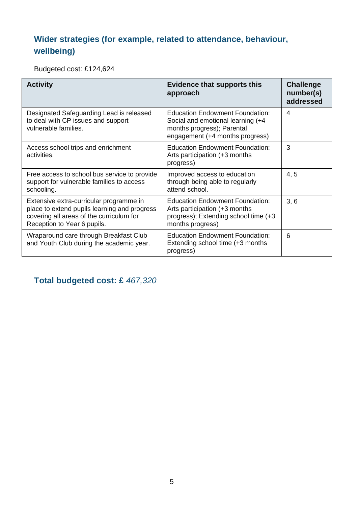### **Wider strategies (for example, related to attendance, behaviour, wellbeing)**

Budgeted cost: £124,624

| <b>Activity</b>                                                                                                                                                    | <b>Evidence that supports this</b><br>approach                                                                                               | <b>Challenge</b><br>number(s)<br>addressed |
|--------------------------------------------------------------------------------------------------------------------------------------------------------------------|----------------------------------------------------------------------------------------------------------------------------------------------|--------------------------------------------|
| Designated Safeguarding Lead is released<br>to deal with CP issues and support<br>vulnerable families.                                                             | <b>Education Endowment Foundation:</b><br>Social and emotional learning (+4<br>months progress); Parental<br>engagement (+4 months progress) | 4                                          |
| Access school trips and enrichment<br>activities.                                                                                                                  | <b>Education Endowment Foundation:</b><br>Arts participation (+3 months<br>progress)                                                         | 3                                          |
| Free access to school bus service to provide<br>support for vulnerable families to access<br>schooling.                                                            | Improved access to education<br>through being able to regularly<br>attend school.                                                            | 4, 5                                       |
| Extensive extra-curricular programme in<br>place to extend pupils learning and progress<br>covering all areas of the curriculum for<br>Reception to Year 6 pupils. | <b>Education Endowment Foundation:</b><br>Arts participation (+3 months<br>progress); Extending school time (+3<br>months progress)          | 3, 6                                       |
| Wraparound care through Breakfast Club<br>and Youth Club during the academic year.                                                                                 | <b>Education Endowment Foundation:</b><br>Extending school time (+3 months<br>progress)                                                      | 6                                          |

**Total budgeted cost: £** *467,320*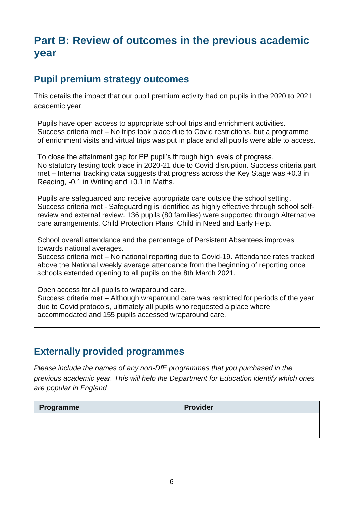## **Part B: Review of outcomes in the previous academic year**

#### **Pupil premium strategy outcomes**

This details the impact that our pupil premium activity had on pupils in the 2020 to 2021 academic year.

Pupils have open access to appropriate school trips and enrichment activities. Success criteria met – No trips took place due to Covid restrictions, but a programme of enrichment visits and virtual trips was put in place and all pupils were able to access.

To close the attainment gap for PP pupil's through high levels of progress. No statutory testing took place in 2020-21 due to Covid disruption. Success criteria part met – Internal tracking data suggests that progress across the Key Stage was +0.3 in Reading, -0.1 in Writing and +0.1 in Maths.

Pupils are safeguarded and receive appropriate care outside the school setting. Success criteria met - Safeguarding is identified as highly effective through school selfreview and external review. 136 pupils (80 families) were supported through Alternative care arrangements, Child Protection Plans, Child in Need and Early Help.

School overall attendance and the percentage of Persistent Absentees improves towards national averages.

Success criteria met – No national reporting due to Covid-19. Attendance rates tracked above the National weekly average attendance from the beginning of reporting once schools extended opening to all pupils on the 8th March 2021.

Open access for all pupils to wraparound care.

Success criteria met – Although wraparound care was restricted for periods of the year due to Covid protocols, ultimately all pupils who requested a place where accommodated and 155 pupils accessed wraparound care.

#### **Externally provided programmes**

*Please include the names of any non-DfE programmes that you purchased in the previous academic year. This will help the Department for Education identify which ones are popular in England*

| Programme | <b>Provider</b> |
|-----------|-----------------|
|           |                 |
|           |                 |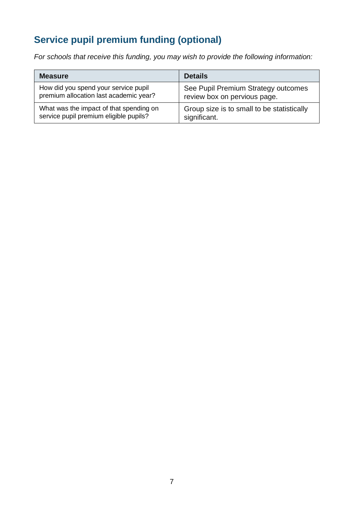## **Service pupil premium funding (optional)**

*For schools that receive this funding, you may wish to provide the following information:* 

| <b>Measure</b>                          | <b>Details</b>                             |
|-----------------------------------------|--------------------------------------------|
| How did you spend your service pupil    | See Pupil Premium Strategy outcomes        |
| premium allocation last academic year?  | review box on pervious page.               |
| What was the impact of that spending on | Group size is to small to be statistically |
| service pupil premium eligible pupils?  | significant.                               |